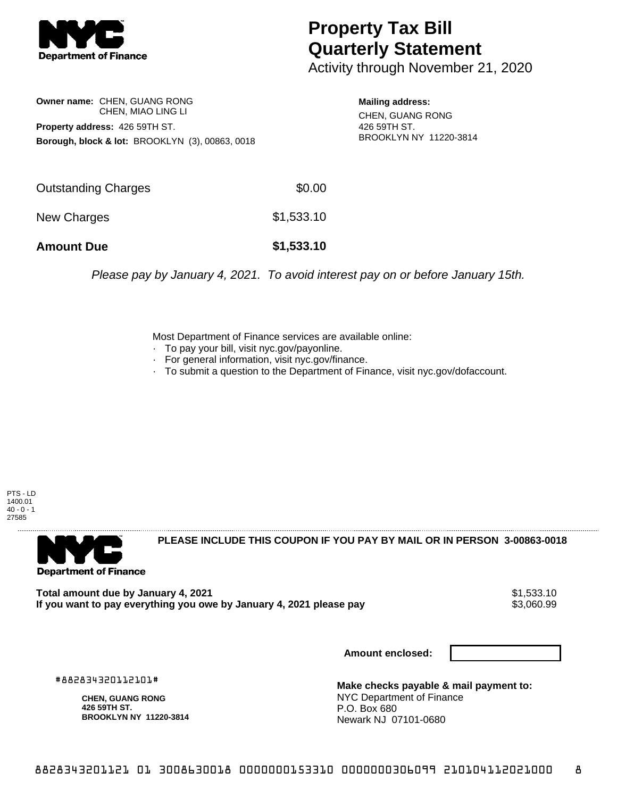

## **Property Tax Bill Quarterly Statement**

Activity through November 21, 2020

**Owner name:** CHEN, GUANG RONG CHEN, MIAO LING LI **Property address:** 426 59TH ST. **Borough, block & lot:** BROOKLYN (3), 00863, 0018

**Mailing address:** CHEN, GUANG RONG 426 59TH ST. BROOKLYN NY 11220-3814

| <b>Amount Due</b>   | \$1,533.10 |
|---------------------|------------|
| New Charges         | \$1,533.10 |
| Outstanding Charges | \$0.00     |

Please pay by January 4, 2021. To avoid interest pay on or before January 15th.

Most Department of Finance services are available online:

- · To pay your bill, visit nyc.gov/payonline.
- For general information, visit nyc.gov/finance.
- · To submit a question to the Department of Finance, visit nyc.gov/dofaccount.

PTS - LD 1400.01  $40 - 0 - 1$ 27585



**PLEASE INCLUDE THIS COUPON IF YOU PAY BY MAIL OR IN PERSON 3-00863-0018** 

**Total amount due by January 4, 2021**<br>If you want to pay everything you owe by January 4, 2021 please pay **strategy of the Same of the S**3,060.99 If you want to pay everything you owe by January 4, 2021 please pay

**Amount enclosed:**

#882834320112101#

**CHEN, GUANG RONG 426 59TH ST. BROOKLYN NY 11220-3814**

**Make checks payable & mail payment to:** NYC Department of Finance P.O. Box 680 Newark NJ 07101-0680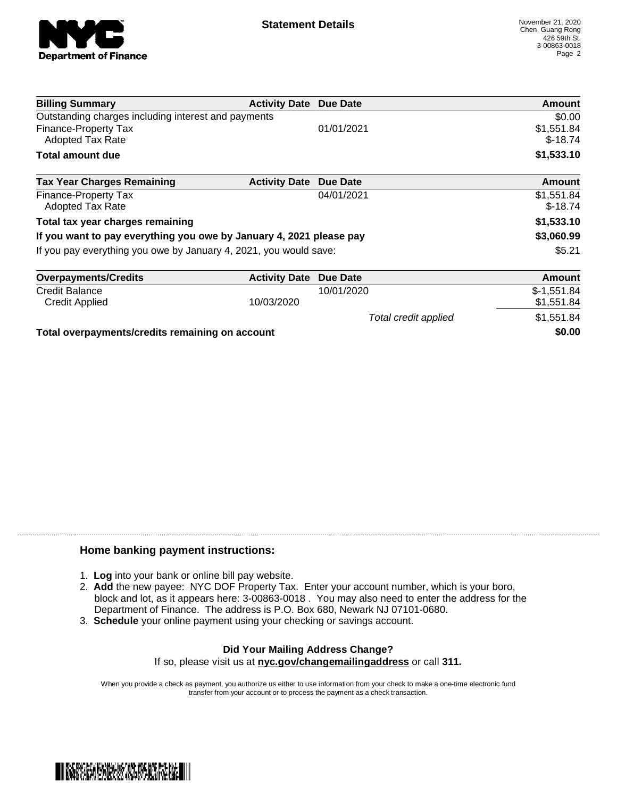

Total credit applied  $$1,551.84$ 

| <b>Billing Summary</b>                                              | <b>Activity Date Due Date</b> |            | Amount                  |
|---------------------------------------------------------------------|-------------------------------|------------|-------------------------|
| Outstanding charges including interest and payments                 |                               |            | \$0.00                  |
| Finance-Property Tax<br><b>Adopted Tax Rate</b>                     |                               | 01/01/2021 | \$1,551.84<br>$$-18.74$ |
| <b>Total amount due</b>                                             |                               |            | \$1,533.10              |
| <b>Tax Year Charges Remaining</b>                                   | <b>Activity Date</b>          | Due Date   | Amount                  |
| Finance-Property Tax                                                |                               | 04/01/2021 | \$1,551.84              |
| <b>Adopted Tax Rate</b>                                             |                               |            | $$-18.74$               |
| Total tax year charges remaining                                    |                               |            | \$1,533.10              |
| If you want to pay everything you owe by January 4, 2021 please pay |                               |            | \$3,060.99              |
| If you pay everything you owe by January 4, 2021, you would save:   |                               |            | \$5.21                  |
| <b>Overpayments/Credits</b>                                         | <b>Activity Date</b>          | Due Date   | Amount                  |
| <b>Credit Balance</b>                                               |                               | 10/01/2020 | $$-1,551.84$            |
| <b>Credit Applied</b>                                               | 10/03/2020                    |            | \$1,551.84              |

**Total overpayments/credits remaining on account \$0.00**

## **Home banking payment instructions:**

- 1. **Log** into your bank or online bill pay website.
- 2. **Add** the new payee: NYC DOF Property Tax. Enter your account number, which is your boro, block and lot, as it appears here: 3-00863-0018 . You may also need to enter the address for the Department of Finance. The address is P.O. Box 680, Newark NJ 07101-0680.
- 3. **Schedule** your online payment using your checking or savings account.

## **Did Your Mailing Address Change?** If so, please visit us at **nyc.gov/changemailingaddress** or call **311.**

When you provide a check as payment, you authorize us either to use information from your check to make a one-time electronic fund transfer from your account or to process the payment as a check transaction.